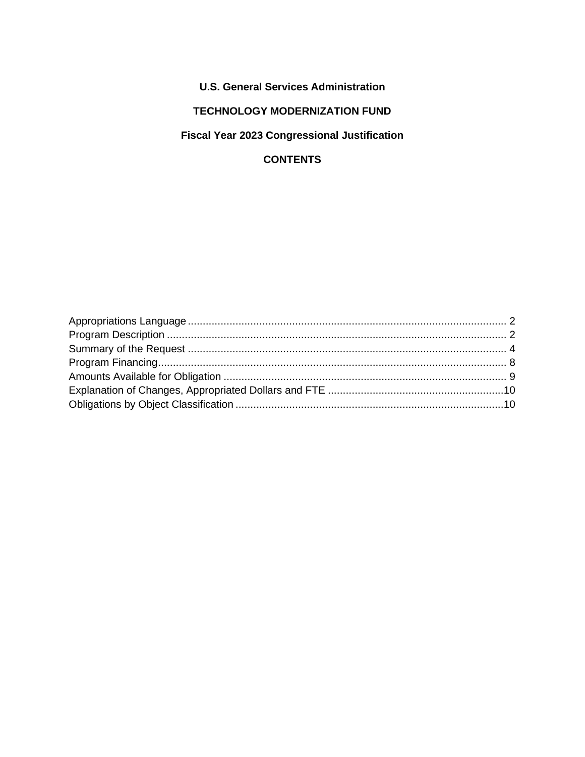# **U.S. General Services Administration**

### **TECHNOLOGY MODERNIZATION FUND**

# **Fiscal Year 2023 Congressional Justification**

# **CONTENTS**

<span id="page-0-0"></span>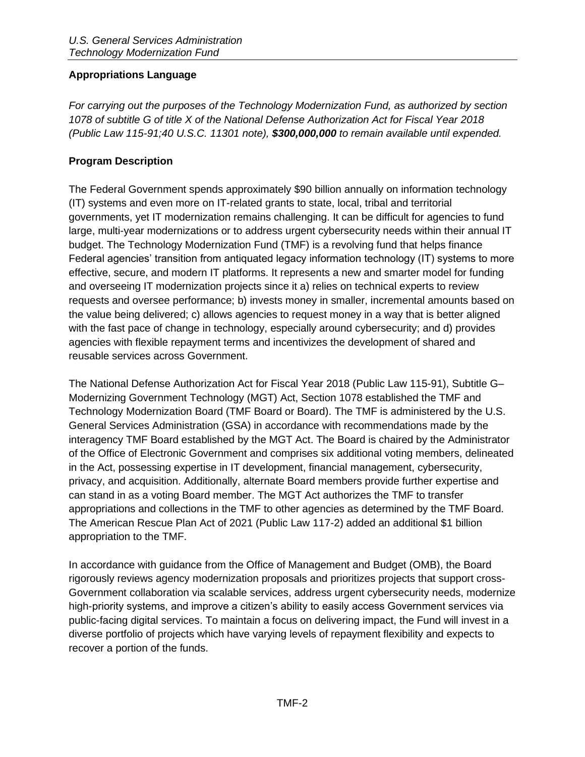#### **Appropriations Language**

*For carrying out the purposes of the Technology Modernization Fund, as authorized by section 1078 of subtitle G of title X of the National Defense Authorization Act for Fiscal Year 2018 (Public Law 115-91;40 U.S.C. 11301 note), \$300,000,000 to remain available until expended.* 

#### <span id="page-1-0"></span>**Program Description**

The Federal Government spends approximately \$90 billion annually on information technology (IT) systems and even more on IT-related grants to state, local, tribal and territorial governments, yet IT modernization remains challenging. It can be difficult for agencies to fund large, multi-year modernizations or to address urgent cybersecurity needs within their annual IT budget. The Technology Modernization Fund (TMF) is a revolving fund that helps finance Federal agencies' transition from antiquated legacy information technology (IT) systems to more effective, secure, and modern IT platforms. It represents a new and smarter model for funding and overseeing IT modernization projects since it a) relies on technical experts to review requests and oversee performance; b) invests money in smaller, incremental amounts based on the value being delivered; c) allows agencies to request money in a way that is better aligned with the fast pace of change in technology, especially around cybersecurity; and d) provides agencies with flexible repayment terms and incentivizes the development of shared and reusable services across Government.

The National Defense Authorization Act for Fiscal Year 2018 (Public Law 115-91), Subtitle G– Modernizing Government Technology (MGT) Act, Section 1078 established the TMF and Technology Modernization Board (TMF Board or Board). The TMF is administered by the U.S. General Services Administration (GSA) in accordance with recommendations made by the interagency TMF Board established by the MGT Act. The Board is chaired by the Administrator of the Office of Electronic Government and comprises six additional voting members, delineated in the Act, possessing expertise in IT development, financial management, cybersecurity, privacy, and acquisition. Additionally, alternate Board members provide further expertise and can stand in as a voting Board member. The MGT Act authorizes the TMF to transfer appropriations and collections in the TMF to other agencies as determined by the TMF Board. The American Rescue Plan Act of 2021 (Public Law 117-2) added an additional \$1 billion appropriation to the TMF.

In accordance with guidance from the Office of Management and Budget (OMB), the Board rigorously reviews agency modernization proposals and prioritizes projects that support cross-Government collaboration via scalable services, address urgent cybersecurity needs, modernize high-priority systems, and improve a citizen's ability to easily access Government services via public-facing digital services. To maintain a focus on delivering impact, the Fund will invest in a diverse portfolio of projects which have varying levels of repayment flexibility and expects to recover a portion of the funds.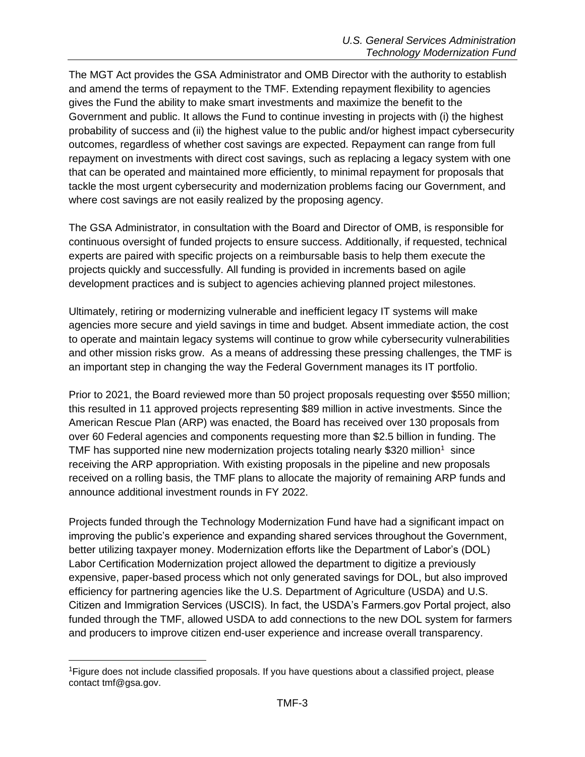The MGT Act provides the GSA Administrator and OMB Director with the authority to establish and amend the terms of repayment to the TMF. Extending repayment flexibility to agencies gives the Fund the ability to make smart investments and maximize the benefit to the Government and public. It allows the Fund to continue investing in projects with (i) the highest probability of success and (ii) the highest value to the public and/or highest impact cybersecurity outcomes, regardless of whether cost savings are expected. Repayment can range from full repayment on investments with direct cost savings, such as replacing a legacy system with one that can be operated and maintained more efficiently, to minimal repayment for proposals that tackle the most urgent cybersecurity and modernization problems facing our Government, and where cost savings are not easily realized by the proposing agency.

The GSA Administrator, in consultation with the Board and Director of OMB, is responsible for continuous oversight of funded projects to ensure success. Additionally, if requested, technical experts are paired with specific projects on a reimbursable basis to help them execute the projects quickly and successfully. All funding is provided in increments based on agile development practices and is subject to agencies achieving planned project milestones.

Ultimately, retiring or modernizing vulnerable and inefficient legacy IT systems will make agencies more secure and yield savings in time and budget. Absent immediate action, the cost to operate and maintain legacy systems will continue to grow while cybersecurity vulnerabilities and other mission risks grow. As a means of addressing these pressing challenges, the TMF is an important step in changing the way the Federal Government manages its IT portfolio.

Prior to 2021, the Board reviewed more than 50 project proposals requesting over \$550 million; this resulted in 11 approved projects representing \$89 million in active investments. Since the American Rescue Plan (ARP) was enacted, the Board has received over 130 proposals from over 60 Federal agencies and components requesting more than \$2.5 billion in funding. The TMF has supported nine new modernization projects totaling nearly \$320 million<sup>1</sup> since receiving the ARP appropriation. With existing proposals in the pipeline and new proposals received on a rolling basis, the TMF plans to allocate the majority of remaining ARP funds and announce additional investment rounds in FY 2022.

Projects funded through the Technology Modernization Fund have had a significant impact on improving the public's experience and expanding shared services throughout the Government, better utilizing taxpayer money. Modernization efforts like the Department of Labor's (DOL) Labor Certification Modernization project allowed the department to digitize a previously expensive, paper-based process which not only generated savings for DOL, but also improved efficiency for partnering agencies like the U.S. Department of Agriculture (USDA) and U.S. Citizen and Immigration Services (USCIS). In fact, the USDA's Farmers.gov Portal project, also funded through the TMF, allowed USDA to add connections to the new DOL system for farmers and producers to improve citizen end-user experience and increase overall transparency.

<sup>&</sup>lt;sup>1</sup>Figure does not include classified proposals. If you have questions about a classified project, please contact tmf@gsa.gov.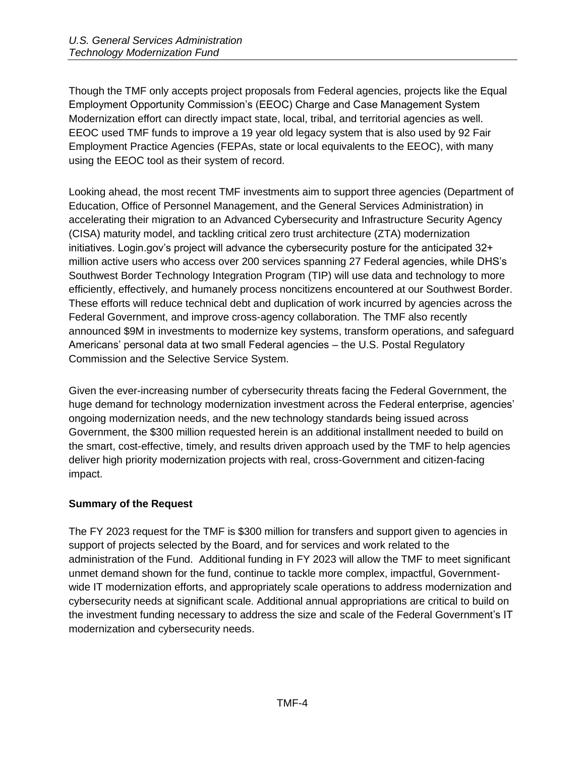Though the TMF only accepts project proposals from Federal agencies, projects like the Equal Employment Opportunity Commission's (EEOC) Charge and Case Management System Modernization effort can directly impact state, local, tribal, and territorial agencies as well. EEOC used TMF funds to improve a 19 year old legacy system that is also used by 92 Fair Employment Practice Agencies (FEPAs, state or local equivalents to the EEOC), with many using the EEOC tool as their system of record.

Looking ahead, the most recent TMF investments aim to support three agencies (Department of Education, Office of Personnel Management, and the General Services Administration) in accelerating their migration to an Advanced Cybersecurity and Infrastructure Security Agency (CISA) maturity model, and tackling critical zero trust architecture (ZTA) modernization initiatives. Login.gov's project will advance the cybersecurity posture for the anticipated 32+ million active users who access over 200 services spanning 27 Federal agencies, while DHS's Southwest Border Technology Integration Program (TIP) will use data and technology to more efficiently, effectively, and humanely process noncitizens encountered at our Southwest Border. These efforts will reduce technical debt and duplication of work incurred by agencies across the Federal Government, and improve cross-agency collaboration. The TMF also recently announced \$9M in investments to modernize key systems, transform operations, and safeguard Americans' personal data at two small Federal agencies – the U.S. Postal Regulatory Commission and the Selective Service System.

Given the ever-increasing number of cybersecurity threats facing the Federal Government, the huge demand for technology modernization investment across the Federal enterprise, agencies' ongoing modernization needs, and the new technology standards being issued across Government, the \$300 million requested herein is an additional installment needed to build on the smart, cost-effective, timely, and results driven approach used by the TMF to help agencies deliver high priority modernization projects with real, cross-Government and citizen-facing impact.

### <span id="page-3-0"></span>**Summary of the Request**

The FY 2023 request for the TMF is \$300 million for transfers and support given to agencies in support of projects selected by the Board, and for services and work related to the administration of the Fund. Additional funding in FY 2023 will allow the TMF to meet significant unmet demand shown for the fund, continue to tackle more complex, impactful, Governmentwide IT modernization efforts, and appropriately scale operations to address modernization and cybersecurity needs at significant scale. Additional annual appropriations are critical to build on the investment funding necessary to address the size and scale of the Federal Government's IT modernization and cybersecurity needs.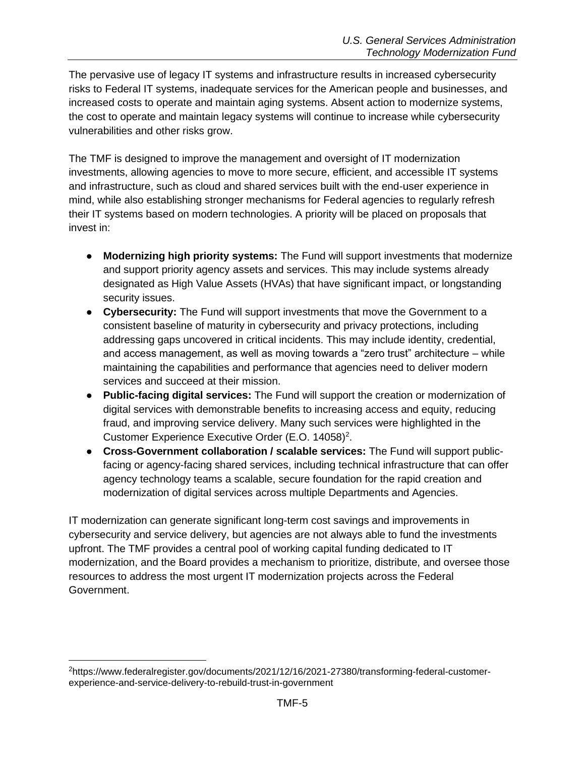The pervasive use of legacy IT systems and infrastructure results in increased cybersecurity risks to Federal IT systems, inadequate services for the American people and businesses, and increased costs to operate and maintain aging systems. Absent action to modernize systems, the cost to operate and maintain legacy systems will continue to increase while cybersecurity vulnerabilities and other risks grow.

The TMF is designed to improve the management and oversight of IT modernization investments, allowing agencies to move to more secure, efficient, and accessible IT systems and infrastructure, such as cloud and shared services built with the end-user experience in mind, while also establishing stronger mechanisms for Federal agencies to regularly refresh their IT systems based on modern technologies. A priority will be placed on proposals that invest in:

- **Modernizing high priority systems:** The Fund will support investments that modernize and support priority agency assets and services. This may include systems already designated as High Value Assets (HVAs) that have significant impact, or longstanding security issues.
- **Cybersecurity:** The Fund will support investments that move the Government to a consistent baseline of maturity in cybersecurity and privacy protections, including addressing gaps uncovered in critical incidents. This may include identity, credential, and access management, as well as moving towards a "zero trust" architecture – while maintaining the capabilities and performance that agencies need to deliver modern services and succeed at their mission.
- **Public-facing digital services:** The Fund will support the creation or modernization of digital services with demonstrable benefits to increasing access and equity, reducing fraud, and improving service delivery. Many such services were highlighted in the Customer Experience Executive Order (E.O. 14058)<sup>2</sup>.
- **Cross-Government collaboration / scalable services:** The Fund will support publicfacing or agency-facing shared services, including technical infrastructure that can offer agency technology teams a scalable, secure foundation for the rapid creation and modernization of digital services across multiple Departments and Agencies.

IT modernization can generate significant long-term cost savings and improvements in cybersecurity and service delivery, but agencies are not always able to fund the investments upfront. The TMF provides a central pool of working capital funding dedicated to IT modernization, and the Board provides a mechanism to prioritize, distribute, and oversee those resources to address the most urgent IT modernization projects across the Federal Government.

<sup>2</sup>https://www.federalregister.gov/documents/2021/12/16/2021-27380/transforming-federal-customerexperience-and-service-delivery-to-rebuild-trust-in-government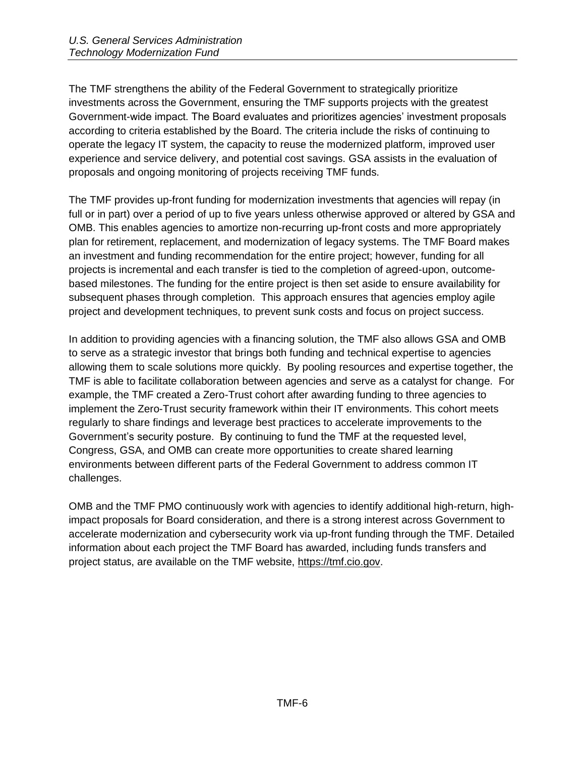The TMF strengthens the ability of the Federal Government to strategically prioritize investments across the Government, ensuring the TMF supports projects with the greatest Government-wide impact. The Board evaluates and prioritizes agencies' investment proposals according to criteria established by the Board. The criteria include the risks of continuing to operate the legacy IT system, the capacity to reuse the modernized platform, improved user experience and service delivery, and potential cost savings. GSA assists in the evaluation of proposals and ongoing monitoring of projects receiving TMF funds.

The TMF provides up-front funding for modernization investments that agencies will repay (in full or in part) over a period of up to five years unless otherwise approved or altered by GSA and OMB. This enables agencies to amortize non-recurring up-front costs and more appropriately plan for retirement, replacement, and modernization of legacy systems. The TMF Board makes an investment and funding recommendation for the entire project; however, funding for all projects is incremental and each transfer is tied to the completion of agreed-upon, outcomebased milestones. The funding for the entire project is then set aside to ensure availability for subsequent phases through completion. This approach ensures that agencies employ agile project and development techniques, to prevent sunk costs and focus on project success.

In addition to providing agencies with a financing solution, the TMF also allows GSA and OMB to serve as a strategic investor that brings both funding and technical expertise to agencies allowing them to scale solutions more quickly. By pooling resources and expertise together, the TMF is able to facilitate collaboration between agencies and serve as a catalyst for change. For example, the TMF created a Zero-Trust cohort after awarding funding to three agencies to implement the Zero-Trust security framework within their IT environments. This cohort meets regularly to share findings and leverage best practices to accelerate improvements to the Government's security posture. By continuing to fund the TMF at the requested level, Congress, GSA, and OMB can create more opportunities to create shared learning environments between different parts of the Federal Government to address common IT challenges.

OMB and the TMF PMO continuously work with agencies to identify additional high-return, highimpact proposals for Board consideration, and there is a strong interest across Government to accelerate modernization and cybersecurity work via up-front funding through the TMF. Detailed information about each project the TMF Board has awarded, including funds transfers and project status, are available on the TMF website, https://tmf.cio.gov.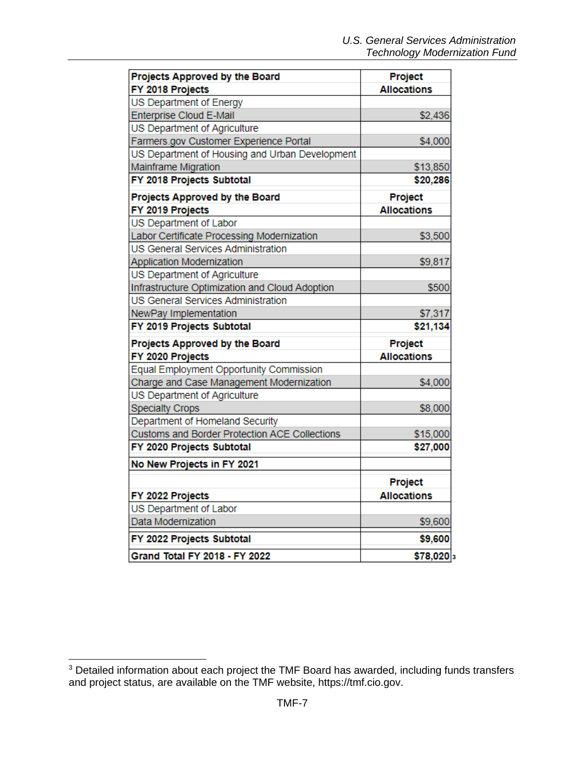| Projects Approved by the Board                 | Project            |
|------------------------------------------------|--------------------|
| FY 2018 Projects                               | <b>Allocations</b> |
| US Department of Energy                        |                    |
| <b>Enterprise Cloud E-Mail</b>                 | \$2,436            |
| US Department of Agriculture                   |                    |
| Farmers.gov Customer Experience Portal         | \$4,000            |
| US Department of Housing and Urban Development |                    |
| Mainframe Migration                            | \$13,850           |
| FY 2018 Projects Subtotal                      | \$20,286           |
| Projects Approved by the Board                 | Project            |
| FY 2019 Projects                               | <b>Allocations</b> |
| US Department of Labor                         |                    |
| Labor Certificate Processing Modernization     | \$3,500            |
| US General Services Administration             |                    |
| Application Modernization                      | \$9,817            |
| US Department of Agriculture                   |                    |
| Infrastructure Optimization and Cloud Adoption | \$500              |
| US General Services Administration             |                    |
| NewPay Implementation                          | \$7,317            |
| FY 2019 Projects Subtotal                      | \$21,134           |
| Projects Approved by the Board                 | Project            |
| FY 2020 Projects                               | <b>Allocations</b> |
| <b>Equal Employment Opportunity Commission</b> |                    |
| Charge and Case Management Modernization       | \$4,000            |
| US Department of Agriculture                   |                    |
| <b>Specialty Crops</b>                         | \$8,000            |
| Department of Homeland Security                |                    |
| Customs and Border Protection ACE Collections  | \$15,000           |
| FY 2020 Projects Subtotal                      | \$27,000           |
| No New Projects in FY 2021                     |                    |
|                                                | Project            |
| FY 2022 Projects                               | <b>Allocations</b> |
| US Department of Labor                         |                    |
| Data Modernization                             | \$9,600            |
| FY 2022 Projects Subtotal                      | \$9,600            |
| Grand Total FY 2018 - FY 2022                  | $$78,020]_3$       |

<sup>&</sup>lt;sup>3</sup> Detailed information about each project the TMF Board has awarded, including funds transfers and project status, are available on the TMF website, https://tmf.cio.gov.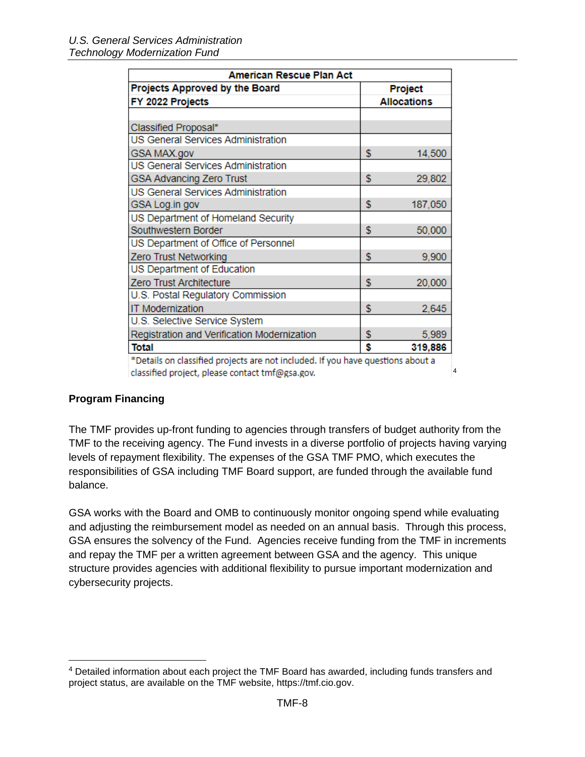| American Rescue Plan Act                                                        |    |                    |  |  |  |  |
|---------------------------------------------------------------------------------|----|--------------------|--|--|--|--|
| Projects Approved by the Board<br>Project                                       |    |                    |  |  |  |  |
| FY 2022 Projects                                                                |    | <b>Allocations</b> |  |  |  |  |
|                                                                                 |    |                    |  |  |  |  |
| Classified Proposal*                                                            |    |                    |  |  |  |  |
| US General Services Administration                                              |    |                    |  |  |  |  |
| GSA MAX.gov                                                                     | \$ | 14,500             |  |  |  |  |
| US General Services Administration                                              |    |                    |  |  |  |  |
| <b>GSA Advancing Zero Trust</b>                                                 | \$ | 29,802             |  |  |  |  |
| <b>US General Services Administration</b>                                       |    |                    |  |  |  |  |
| GSA Log.in gov                                                                  | \$ | 187,050            |  |  |  |  |
| US Department of Homeland Security                                              |    |                    |  |  |  |  |
| Southwestern Border                                                             | \$ | 50,000             |  |  |  |  |
| US Department of Office of Personnel                                            |    |                    |  |  |  |  |
| Zero Trust Networking                                                           | \$ | 9,900              |  |  |  |  |
| US Department of Education                                                      |    |                    |  |  |  |  |
| Zero Trust Architecture                                                         | \$ | 20,000             |  |  |  |  |
| U.S. Postal Regulatory Commission                                               |    |                    |  |  |  |  |
| <b>IT Modernization</b>                                                         | \$ | 2,645              |  |  |  |  |
| U.S. Selective Service System                                                   |    |                    |  |  |  |  |
| Registration and Verification Modernization                                     | \$ | 5,989              |  |  |  |  |
| Total                                                                           | Ś  | 319,886            |  |  |  |  |
| *Details on classified projects are not included. If you have questions about a |    |                    |  |  |  |  |
| classified project, please contact tmf@gsa.gov.                                 |    | $\overline{4}$     |  |  |  |  |

#### <span id="page-7-0"></span>**Program Financing**

The TMF provides up-front funding to agencies through transfers of budget authority from the TMF to the receiving agency. The Fund invests in a diverse portfolio of projects having varying levels of repayment flexibility. The expenses of the GSA TMF PMO, which executes the responsibilities of GSA including TMF Board support, are funded through the available fund balance.

GSA works with the Board and OMB to continuously monitor ongoing spend while evaluating and adjusting the reimbursement model as needed on an annual basis. Through this process, GSA ensures the solvency of the Fund. Agencies receive funding from the TMF in increments and repay the TMF per a written agreement between GSA and the agency. This unique structure provides agencies with additional flexibility to pursue important modernization and cybersecurity projects.

<sup>4</sup> Detailed information about each project the TMF Board has awarded, including funds transfers and project status, are available on the TMF website, https://tmf.cio.gov.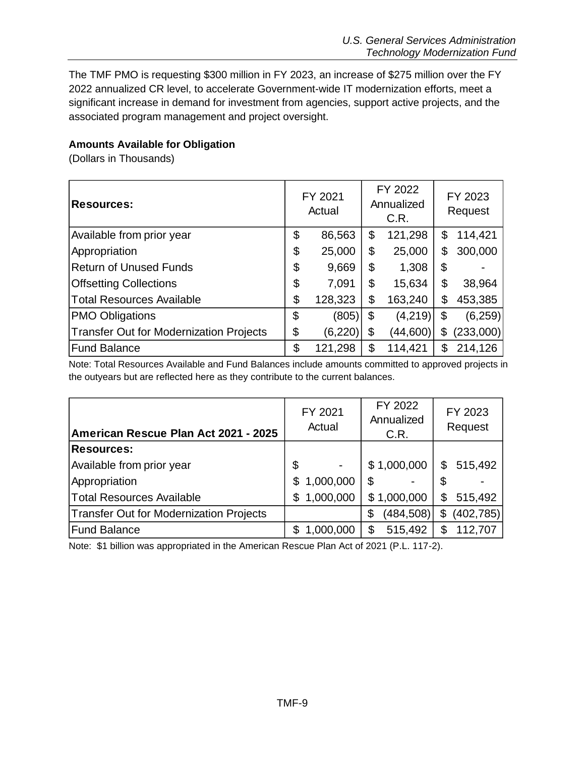The TMF PMO is requesting \$300 million in FY 2023, an increase of \$275 million over the FY 2022 annualized CR level, to accelerate Government-wide IT modernization efforts, meet a significant increase in demand for investment from agencies, support active projects, and the associated program management and project oversight.

### <span id="page-8-0"></span>**Amounts Available for Obligation**

(Dollars in Thousands)

| <b>Resources:</b>                              | FY 2021<br>Actual |          | FY 2022<br>Annualized<br>C.R. | FY 2023<br>Request |           |  |
|------------------------------------------------|-------------------|----------|-------------------------------|--------------------|-----------|--|
| Available from prior year                      | \$                | 86,563   | \$<br>121,298                 | \$                 | 114,421   |  |
| Appropriation                                  | \$                | 25,000   | \$<br>25,000                  | \$                 | 300,000   |  |
| <b>Return of Unused Funds</b>                  | \$                | 9,669    | \$<br>1,308                   | \$                 |           |  |
| <b>Offsetting Collections</b>                  | \$                | 7,091    | \$<br>15,634                  | \$                 | 38,964    |  |
| <b>Total Resources Available</b>               | \$                | 128,323  | \$<br>163,240                 | \$                 | 453,385   |  |
| <b>PMO Obligations</b>                         | \$                | (805)    | \$<br>(4, 219)                | \$                 | (6, 259)  |  |
| <b>Transfer Out for Modernization Projects</b> | \$                | (6, 220) | \$<br>(44,600)                | \$                 | (233,000) |  |
| <b>Fund Balance</b>                            | \$                | 121,298  | \$<br>114,421                 | \$                 | 214,126   |  |

Note: Total Resources Available and Fund Balances include amounts committed to approved projects in the outyears but are reflected here as they contribute to the current balances.

| American Rescue Plan Act 2021 - 2025    | FY 2021<br>Actual | FY 2022<br>Annualized<br>C.R. | FY 2023<br>Request |  |  |
|-----------------------------------------|-------------------|-------------------------------|--------------------|--|--|
| <b>Resources:</b>                       |                   |                               |                    |  |  |
| Available from prior year               | \$                | \$1,000,000                   | 515,492<br>\$      |  |  |
| Appropriation                           | 1,000,000         | \$                            | \$                 |  |  |
| Total Resources Available               | 1,000,000<br>\$   | \$1,000,000                   | 515,492<br>\$      |  |  |
| Transfer Out for Modernization Projects |                   | (484, 508)<br>\$              | (402, 785)<br>\$   |  |  |
| <b>Fund Balance</b>                     | 1,000,000         | 515,492<br>\$                 | 112,707<br>\$      |  |  |

Note: \$1 billion was appropriated in the American Rescue Plan Act of 2021 (P.L. 117-2).